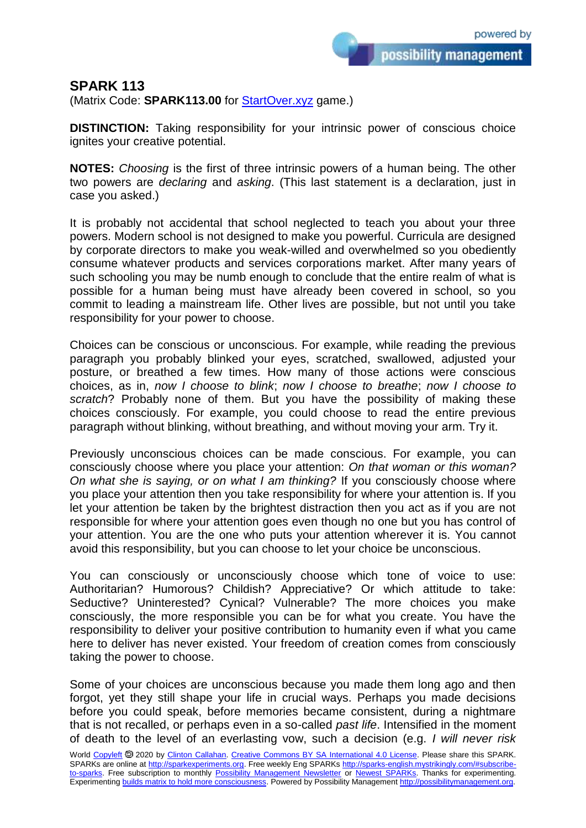possibility management

## **SPARK 113**

(Matrix Code: **SPARK113.00** for **StartOver.xyz** game.)

**DISTINCTION:** Taking responsibility for your intrinsic power of conscious choice ignites your creative potential.

**NOTES:** *Choosing* is the first of three intrinsic powers of a human being. The other two powers are *declaring* and *asking*. (This last statement is a declaration, just in case you asked.)

It is probably not accidental that school neglected to teach you about your three powers. Modern school is not designed to make you powerful. Curricula are designed by corporate directors to make you weak-willed and overwhelmed so you obediently consume whatever products and services corporations market. After many years of such schooling you may be numb enough to conclude that the entire realm of what is possible for a human being must have already been covered in school, so you commit to leading a mainstream life. Other lives are possible, but not until you take responsibility for your power to choose.

Choices can be conscious or unconscious. For example, while reading the previous paragraph you probably blinked your eyes, scratched, swallowed, adjusted your posture, or breathed a few times. How many of those actions were conscious choices, as in, *now I choose to blink*; *now I choose to breathe*; *now I choose to scratch*? Probably none of them. But you have the possibility of making these choices consciously. For example, you could choose to read the entire previous paragraph without blinking, without breathing, and without moving your arm. Try it.

Previously unconscious choices can be made conscious. For example, you can consciously choose where you place your attention: *On that woman or this woman? On what she is saying, or on what I am thinking?* If you consciously choose where you place your attention then you take responsibility for where your attention is. If you let your attention be taken by the brightest distraction then you act as if you are not responsible for where your attention goes even though no one but you has control of your attention. You are the one who puts your attention wherever it is. You cannot avoid this responsibility, but you can choose to let your choice be unconscious.

You can consciously or unconsciously choose which tone of voice to use: Authoritarian? Humorous? Childish? Appreciative? Or which attitude to take: Seductive? Uninterested? Cynical? Vulnerable? The more choices you make consciously, the more responsible you can be for what you create. You have the responsibility to deliver your positive contribution to humanity even if what you came here to deliver has never existed. Your freedom of creation comes from consciously taking the power to choose.

Some of your choices are unconscious because you made them long ago and then forgot, yet they still shape your life in crucial ways. Perhaps you made decisions before you could speak, before memories became consistent, during a nightmare that is not recalled, or perhaps even in a so-called *past life*. Intensified in the moment of death to the level of an everlasting vow, such a decision (e.g. *I will never risk*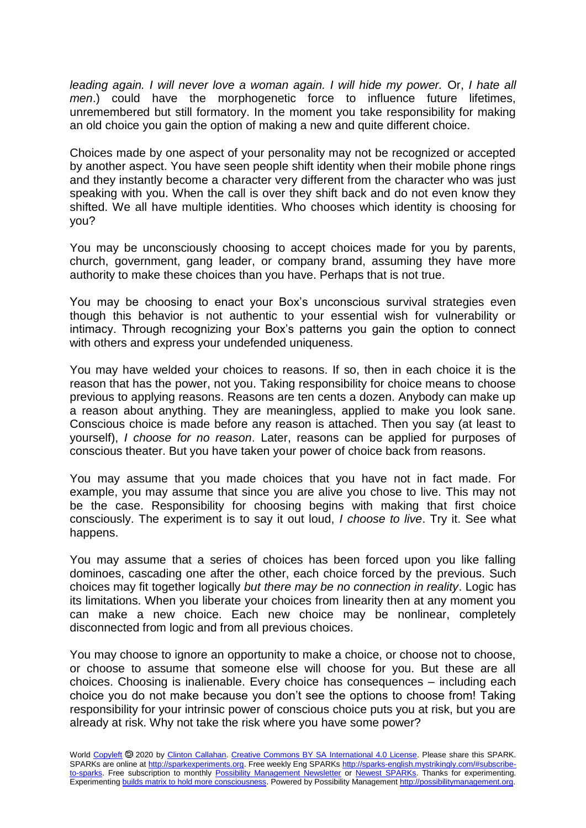*leading again. I will never love a woman again. I will hide my power.* Or, *I hate all men*.) could have the morphogenetic force to influence future lifetimes, unremembered but still formatory. In the moment you take responsibility for making an old choice you gain the option of making a new and quite different choice.

Choices made by one aspect of your personality may not be recognized or accepted by another aspect. You have seen people shift identity when their mobile phone rings and they instantly become a character very different from the character who was just speaking with you. When the call is over they shift back and do not even know they shifted. We all have multiple identities. Who chooses which identity is choosing for you?

You may be unconsciously choosing to accept choices made for you by parents, church, government, gang leader, or company brand, assuming they have more authority to make these choices than you have. Perhaps that is not true.

You may be choosing to enact your Box's unconscious survival strategies even though this behavior is not authentic to your essential wish for vulnerability or intimacy. Through recognizing your Box's patterns you gain the option to connect with others and express your undefended uniqueness.

You may have welded your choices to reasons. If so, then in each choice it is the reason that has the power, not you. Taking responsibility for choice means to choose previous to applying reasons. Reasons are ten cents a dozen. Anybody can make up a reason about anything. They are meaningless, applied to make you look sane. Conscious choice is made before any reason is attached. Then you say (at least to yourself), *I choose for no reason*. Later, reasons can be applied for purposes of conscious theater. But you have taken your power of choice back from reasons.

You may assume that you made choices that you have not in fact made. For example, you may assume that since you are alive you chose to live. This may not be the case. Responsibility for choosing begins with making that first choice consciously. The experiment is to say it out loud, *I choose to live*. Try it. See what happens.

You may assume that a series of choices has been forced upon you like falling dominoes, cascading one after the other, each choice forced by the previous. Such choices may fit together logically *but there may be no connection in reality*. Logic has its limitations. When you liberate your choices from linearity then at any moment you can make a new choice. Each new choice may be nonlinear, completely disconnected from logic and from all previous choices.

You may choose to ignore an opportunity to make a choice, or choose not to choose, or choose to assume that someone else will choose for you. But these are all choices. Choosing is inalienable. Every choice has consequences – including each choice you do not make because you don't see the options to choose from! Taking responsibility for your intrinsic power of conscious choice puts you at risk, but you are already at risk. Why not take the risk where you have some power?